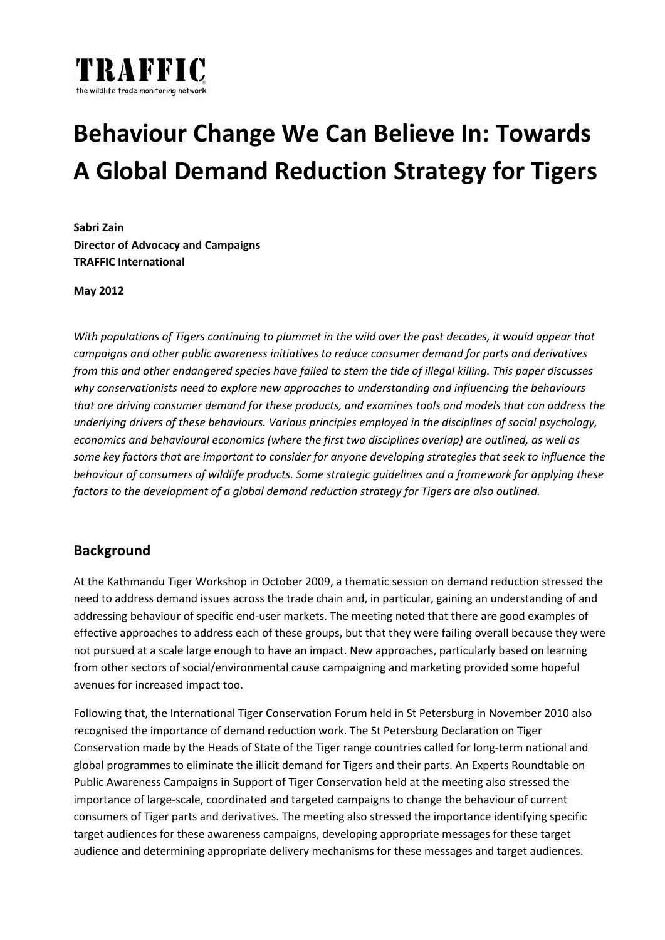

# **Behaviour Change We Can Believe In: Towards A Global Demand Reduction Strategy for Tigers**

**Sabri Zain Director of Advocacy and Campaigns TRAFFIC International**

**May 2012**

With populations of Tigers continuing to plummet in the wild over the past decades, it would appear that *campaigns and other public awareness initiatives to reduce consumer demand for parts and derivatives* from this and other endangered species have failed to stem the tide of illegal killing. This paper discusses *why conservationists need to explore new approaches to understanding and influencing the behaviours that are driving consumer demand for these products, and examines tools and models that can address the underlying drivers of these behaviours. Various principles employed in the disciplines of social psychology, economics and behavioural economics (where the first two disciplines overlap) are outlined, as well as* some key factors that are important to consider for anyone developing strategies that seek to influence the *behaviour of consumers of wildlife products. Some strategic guidelines and a framework for applying these factors to the development of a global demand reduction strategy for Tigers are also outlined.*

### **Background**

At the Kathmandu Tiger Workshop in October 2009, a thematic session on demand reduction stressed the need to address demand issues across the trade chain and, in particular, gaining an understanding of and addressing behaviour of specific end‐user markets. The meeting noted that there are good examples of effective approaches to address each of these groups, but that they were failing overall because they were not pursued at a scale large enough to have an impact. New approaches, particularly based on learning from other sectors of social/environmental cause campaigning and marketing provided some hopeful avenues for increased impact too.

Following that, the International Tiger Conservation Forum held in St Petersburg in November 2010 also recognised the importance of demand reduction work. The St Petersburg Declaration on Tiger Conservation made by the Heads of State of the Tiger range countries called for long‐term national and global programmes to eliminate the illicit demand for Tigers and their parts. An Experts Roundtable on Public Awareness Campaigns in Support of Tiger Conservation held at the meeting also stressed the importance of large‐scale, coordinated and targeted campaigns to change the behaviour of current consumers of Tiger parts and derivatives. The meeting also stressed the importance identifying specific target audiences for these awareness campaigns, developing appropriate messages for these target audience and determining appropriate delivery mechanisms for these messages and target audiences.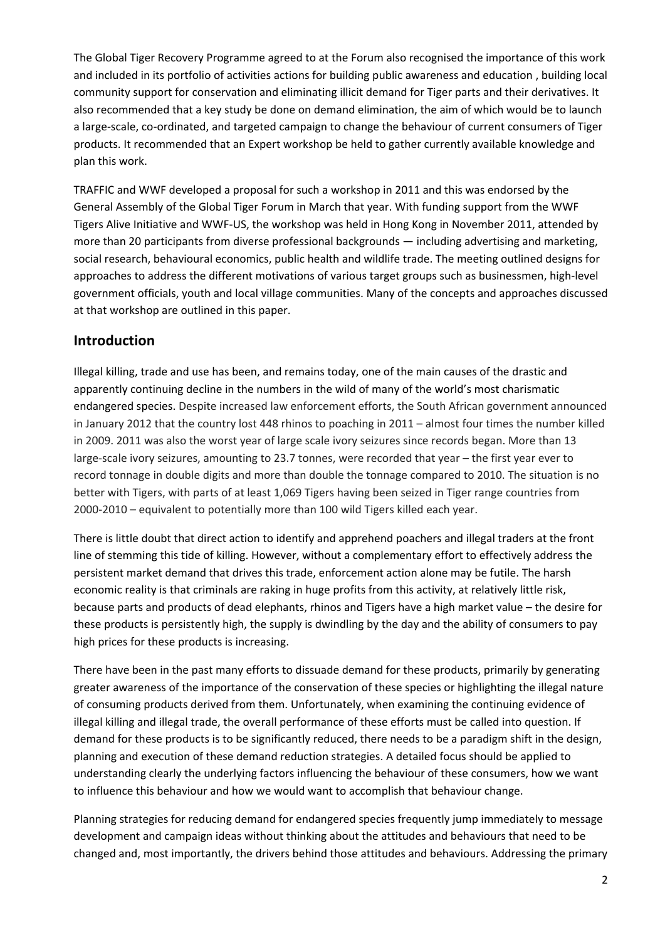The Global Tiger Recovery Programme agreed to at the Forum also recognised the importance of this work and included in its portfolio of activities actions for building public awareness and education , building local community support for conservation and eliminating illicit demand for Tiger parts and their derivatives. It also recommended that a key study be done on demand elimination, the aim of which would be to launch a large-scale, co-ordinated, and targeted campaign to change the behaviour of current consumers of Tiger products. It recommended that an Expert workshop be held to gather currently available knowledge and plan this work.

TRAFFIC and WWF developed a proposal for such a workshop in 2011 and this was endorsed by the General Assembly of the Global Tiger Forum in March that year. With funding support from the WWF Tigers Alive Initiative and WWF‐US, the workshop was held in Hong Kong in November 2011, attended by more than 20 participants from diverse professional backgrounds — including advertising and marketing, social research, behavioural economics, public health and wildlife trade. The meeting outlined designs for approaches to address the different motivations of various target groups such as businessmen, high-level government officials, youth and local village communities. Many of the concepts and approaches discussed at that workshop are outlined in this paper.

### **Introduction**

Illegal killing, trade and use has been, and remains today, one of the main causes of the drastic and apparently continuing decline in the numbers in the wild of many of the world's most charismatic endangered species. Despite increased law enforcement efforts, the South African government announced in January 2012 that the country lost 448 rhinos to poaching in 2011 – almost four times the number killed in 2009. 2011 was also the worst year of large scale ivory seizures since records began. More than 13 large-scale ivory seizures, amounting to 23.7 tonnes, were recorded that year – the first year ever to record tonnage in double digits and more than double the tonnage compared to 2010. The situation is no better with Tigers, with parts of at least 1,069 Tigers having been seized in Tiger range countries from 2000‐2010 – equivalent to potentially more than 100 wild Tigers killed each year.

There is little doubt that direct action to identify and apprehend poachers and illegal traders at the front line of stemming this tide of killing. However, without a complementary effort to effectively address the persistent market demand that drives this trade, enforcement action alone may be futile. The harsh economic reality is that criminals are raking in huge profits from this activity, at relatively little risk, because parts and products of dead elephants, rhinos and Tigers have a high market value – the desire for these products is persistently high, the supply is dwindling by the day and the ability of consumers to pay high prices for these products is increasing.

There have been in the past many efforts to dissuade demand for these products, primarily by generating greater awareness of the importance of the conservation of these species or highlighting the illegal nature of consuming products derived from them. Unfortunately, when examining the continuing evidence of illegal killing and illegal trade, the overall performance of these efforts must be called into question. If demand for these products is to be significantly reduced, there needs to be a paradigm shift in the design, planning and execution of these demand reduction strategies. A detailed focus should be applied to understanding clearly the underlying factors influencing the behaviour of these consumers, how we want to influence this behaviour and how we would want to accomplish that behaviour change.

Planning strategies for reducing demand for endangered species frequently jump immediately to message development and campaign ideas without thinking about the attitudes and behaviours that need to be changed and, most importantly, the drivers behind those attitudes and behaviours. Addressing the primary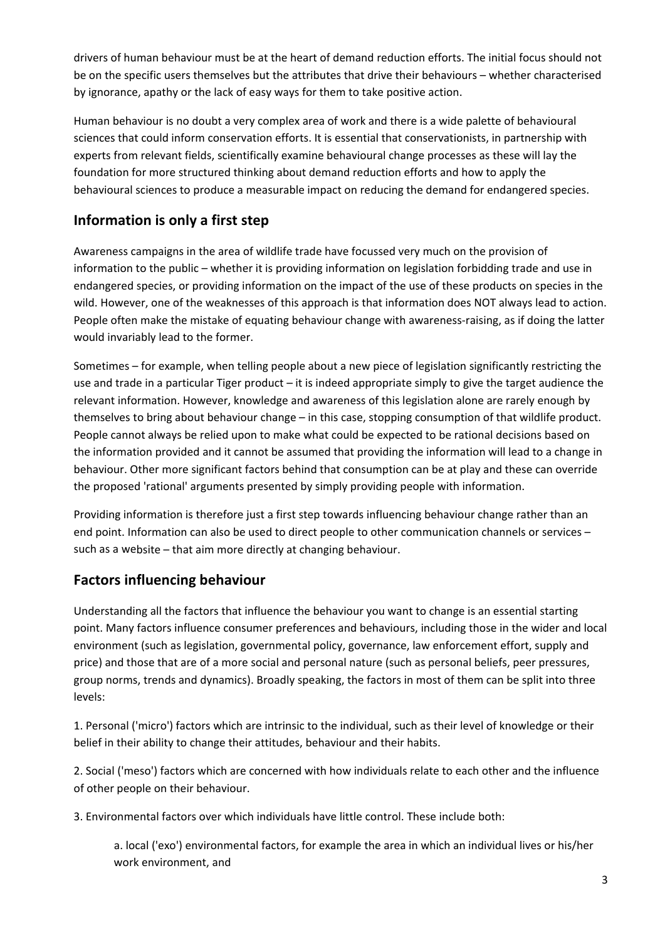drivers of human behaviour must be at the heart of demand reduction efforts. The initial focus should not be on the specific users themselves but the attributes that drive their behaviours – whether characterised by ignorance, apathy or the lack of easy ways for them to take positive action.

Human behaviour is no doubt a very complex area of work and there is a wide palette of behavioural sciences that could inform conservation efforts. It is essential that conservationists, in partnership with experts from relevant fields, scientifically examine behavioural change processes as these will lay the foundation for more structured thinking about demand reduction efforts and how to apply the behavioural sciences to produce a measurable impact on reducing the demand for endangered species.

# **Information is only a first step**

Awareness campaigns in the area of wildlife trade have focussed very much on the provision of information to the public – whether it is providing information on legislation forbidding trade and use in endangered species, or providing information on the impact of the use of these products on species in the wild. However, one of the weaknesses of this approach is that information does NOT always lead to action. People often make the mistake of equating behaviour change with awareness-raising, as if doing the latter would invariably lead to the former.

Sometimes – for example, when telling people about a new piece of legislation significantly restricting the use and trade in a particular Tiger product – it is indeed appropriate simply to give the target audience the relevant information. However, knowledge and awareness of this legislation alone are rarely enough by themselves to bring about behaviour change – in this case, stopping consumption of that wildlife product. People cannot always be relied upon to make what could be expected to be rational decisions based on the information provided and it cannot be assumed that providing the information will lead to a change in behaviour. Other more significant factors behind that consumption can be at play and these can override the proposed 'rational' arguments presented by simply providing people with information.

Providing information is therefore just a first step towards influencing behaviour change rather than an end point. Information can also be used to direct people to other communication channels or services – such as a website – that aim more directly at changing behaviour.

# **Factors influencing behaviour**

Understanding all the factors that influence the behaviour you want to change is an essential starting point. Many factors influence consumer preferences and behaviours, including those in the wider and local environment (such as legislation, governmental policy, governance, law enforcement effort, supply and price) and those that are of a more social and personal nature (such as personal beliefs, peer pressures, group norms, trends and dynamics). Broadly speaking, the factors in most of them can be split into three levels:

1. Personal ('micro') factors which are intrinsic to the individual, such as their level of knowledge or their belief in their ability to change their attitudes, behaviour and their habits.

2. Social ('meso') factors which are concerned with how individuals relate to each other and the influence of other people on their behaviour.

3. Environmental factors over which individuals have little control. These include both:

a. local ('exo') environmental factors, for example the area in which an individual lives or his/her work environment, and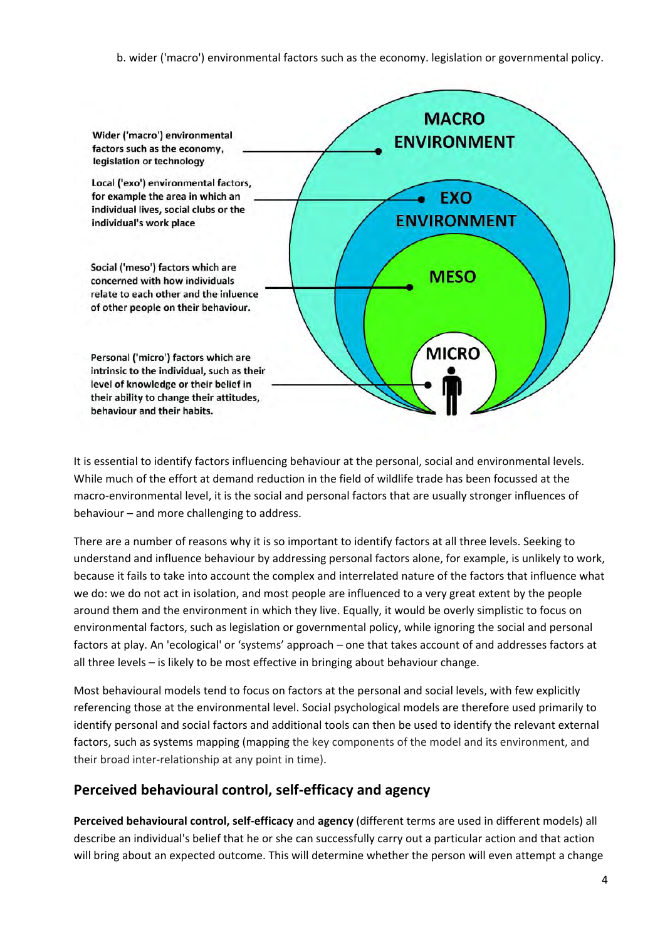b. wider ('macro') environmental factors such as the economy. legislation or governmental policy.



It is essential to identify factors influencing behaviour at the personal, social and environmental levels. While much of the effort at demand reduction in the field of wildlife trade has been focussed at the macro‐environmental level, it is the social and personal factors that are usually stronger influences of behaviour – and more challenging to address.

There are a number of reasons why it is so important to identify factors at all three levels. Seeking to understand and influence behaviour by addressing personal factors alone, for example, is unlikely to work, because it fails to take into account the complex and interrelated nature of the factors that influence what we do: we do not act in isolation, and most people are influenced to a very great extent by the people around them and the environment in which they live. Equally, it would be overly simplistic to focus on environmental factors, such as legislation or governmental policy, while ignoring the social and personal factors at play. An 'ecological' or 'systems' approach – one that takes account of and addresses factors at all three levels – is likely to be most effective in bringing about behaviour change.

Most behavioural models tend to focus on factors at the personal and social levels, with few explicitly referencing those at the environmental level. Social psychological models are therefore used primarily to identify personal and social factors and additional tools can then be used to identify the relevant external factors, such as systems mapping (mapping the key components of the model and its environment, and their broad inter‐relationship at any point in time).

# **Perceived behavioural control, self‐efficacy and agency**

**Perceived behavioural control, self‐efficacy** and **agency** (different terms are used in different models) all describe an individual's belief that he or she can successfully carry out a particular action and that action will bring about an expected outcome. This will determine whether the person will even attempt a change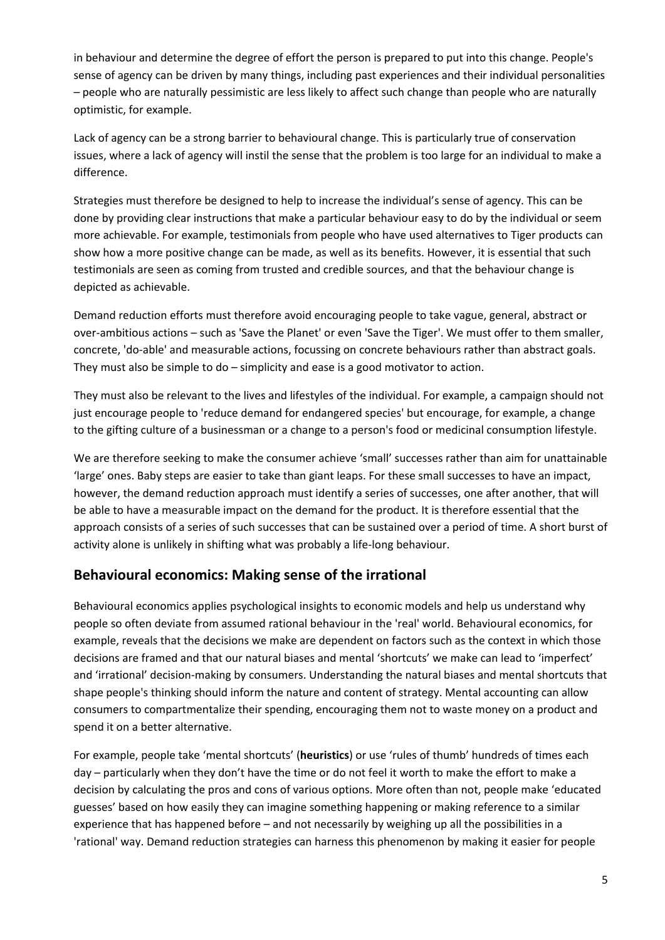in behaviour and determine the degree of effort the person is prepared to put into this change. People's sense of agency can be driven by many things, including past experiences and their individual personalities – people who are naturally pessimistic are less likely to affect such change than people who are naturally optimistic, for example.

Lack of agency can be a strong barrier to behavioural change. This is particularly true of conservation issues, where a lack of agency will instil the sense that the problem is too large for an individual to make a difference.

Strategies must therefore be designed to help to increase the individual's sense of agency. This can be done by providing clear instructions that make a particular behaviour easy to do by the individual or seem more achievable. For example, testimonials from people who have used alternatives to Tiger products can show how a more positive change can be made, as well as its benefits. However, it is essential that such testimonials are seen as coming from trusted and credible sources, and that the behaviour change is depicted as achievable.

Demand reduction efforts must therefore avoid encouraging people to take vague, general, abstract or over-ambitious actions – such as 'Save the Planet' or even 'Save the Tiger'. We must offer to them smaller, concrete, 'do‐able' and measurable actions, focussing on concrete behaviours rather than abstract goals. They must also be simple to do – simplicity and ease is a good motivator to action.

They must also be relevant to the lives and lifestyles of the individual. For example, a campaign should not just encourage people to 'reduce demand for endangered species' but encourage, for example, a change to the gifting culture of a businessman or a change to a person's food or medicinal consumption lifestyle.

We are therefore seeking to make the consumer achieve 'small' successes rather than aim for unattainable 'large' ones. Baby steps are easier to take than giant leaps. For these small successes to have an impact, however, the demand reduction approach must identify a series of successes, one after another, that will be able to have a measurable impact on the demand for the product. It is therefore essential that the approach consists of a series of such successes that can be sustained over a period of time. A short burst of activity alone is unlikely in shifting what was probably a life‐long behaviour.

# **Behavioural economics: Making sense of the irrational**

Behavioural economics applies psychological insights to economic models and help us understand why people so often deviate from assumed rational behaviour in the 'real' world. Behavioural economics, for example, reveals that the decisions we make are dependent on factors such as the context in which those decisions are framed and that our natural biases and mental 'shortcuts' we make can lead to 'imperfect' and 'irrational' decision-making by consumers. Understanding the natural biases and mental shortcuts that shape people's thinking should inform the nature and content of strategy. Mental accounting can allow consumers to compartmentalize their spending, encouraging them not to waste money on a product and spend it on a better alternative.

For example, people take 'mental shortcuts' (**heuristics**) or use 'rules of thumb' hundreds of times each day – particularly when they don't have the time or do not feel it worth to make the effort to make a decision by calculating the pros and cons of various options. More often than not, people make 'educated guesses' based on how easily they can imagine something happening or making reference to a similar experience that has happened before – and not necessarily by weighing up all the possibilities in a 'rational' way. Demand reduction strategies can harness this phenomenon by making it easier for people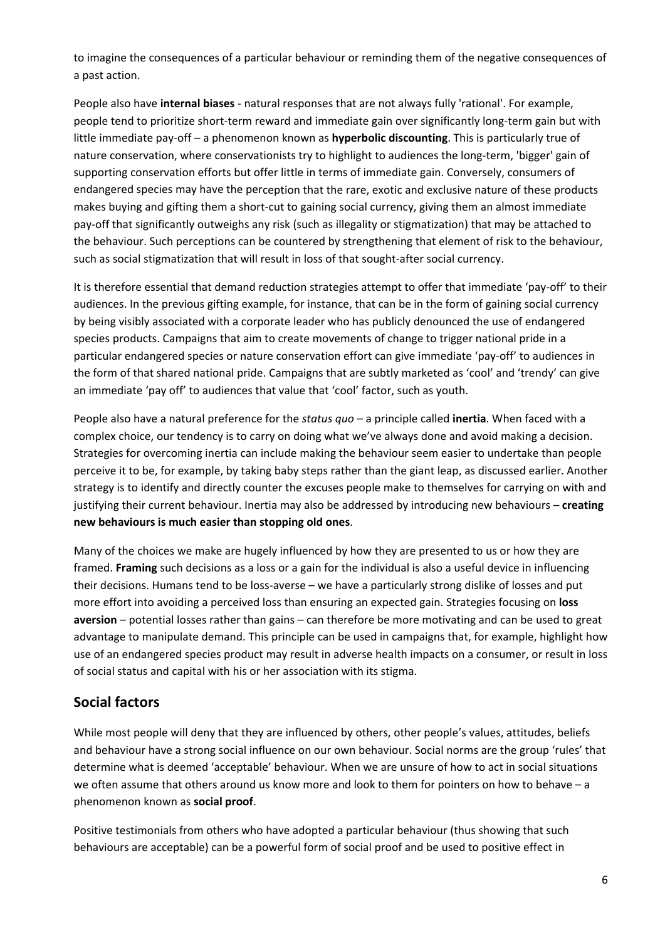to imagine the consequences of a particular behaviour or reminding them of the negative consequences of a past action.

People also have **internal biases** ‐ natural responses that are not always fully 'rational'. For example, people tend to prioritize short-term reward and immediate gain over significantly long-term gain but with little immediate pay‐off – a phenomenon known as **hyperbolic discounting**. This is particularly true of nature conservation, where conservationists try to highlight to audiences the long-term, 'bigger' gain of supporting conservation efforts but offer little in terms of immediate gain. Conversely, consumers of endangered species may have the perception that the rare, exotic and exclusive nature of these products makes buying and gifting them a short-cut to gaining social currency, giving them an almost immediate pay‐off that significantly outweighs any risk (such as illegality or stigmatization) that may be attached to the behaviour. Such perceptions can be countered by strengthening that element of risk to the behaviour, such as social stigmatization that will result in loss of that sought-after social currency.

It is therefore essential that demand reduction strategies attempt to offer that immediate 'pay‐off' to their audiences. In the previous gifting example, for instance, that can be in the form of gaining social currency by being visibly associated with a corporate leader who has publicly denounced the use of endangered species products. Campaigns that aim to create movements of change to trigger national pride in a particular endangered species or nature conservation effort can give immediate 'pay‐off' to audiences in the form of that shared national pride. Campaigns that are subtly marketed as 'cool' and 'trendy' can give an immediate 'pay off' to audiences that value that 'cool' factor, such as youth.

People also have a natural preference for the *status quo* – a principle called **inertia**. When faced with a complex choice, our tendency is to carry on doing what we've always done and avoid making a decision. Strategies for overcoming inertia can include making the behaviour seem easier to undertake than people perceive it to be, for example, by taking baby steps rather than the giant leap, as discussed earlier. Another strategy is to identify and directly counter the excuses people make to themselves for carrying on with and justifying their current behaviour. Inertia may also be addressed by introducing new behaviours – **creating new behaviours is much easier than stopping old ones**.

Many of the choices we make are hugely influenced by how they are presented to us or how they are framed. **Framing** such decisions as a loss or a gain for the individual is also a useful device in influencing their decisions. Humans tend to be loss-averse – we have a particularly strong dislike of losses and put more effort into avoiding a perceived loss than ensuring an expected gain. Strategies focusing on **loss aversion** – potential losses rather than gains – can therefore be more motivating and can be used to great advantage to manipulate demand. This principle can be used in campaigns that, for example, highlight how use of an endangered species product may result in adverse health impacts on a consumer, or result in loss of social status and capital with his or her association with its stigma.

# **Social factors**

While most people will deny that they are influenced by others, other people's values, attitudes, beliefs and behaviour have a strong social influence on our own behaviour. Social norms are the group 'rules' that determine what is deemed 'acceptable' behaviour. When we are unsure of how to act in social situations we often assume that others around us know more and look to them for pointers on how to behave – a phenomenon known as **social proof**.

Positive testimonials from others who have adopted a particular behaviour (thus showing that such behaviours are acceptable) can be a powerful form of social proof and be used to positive effect in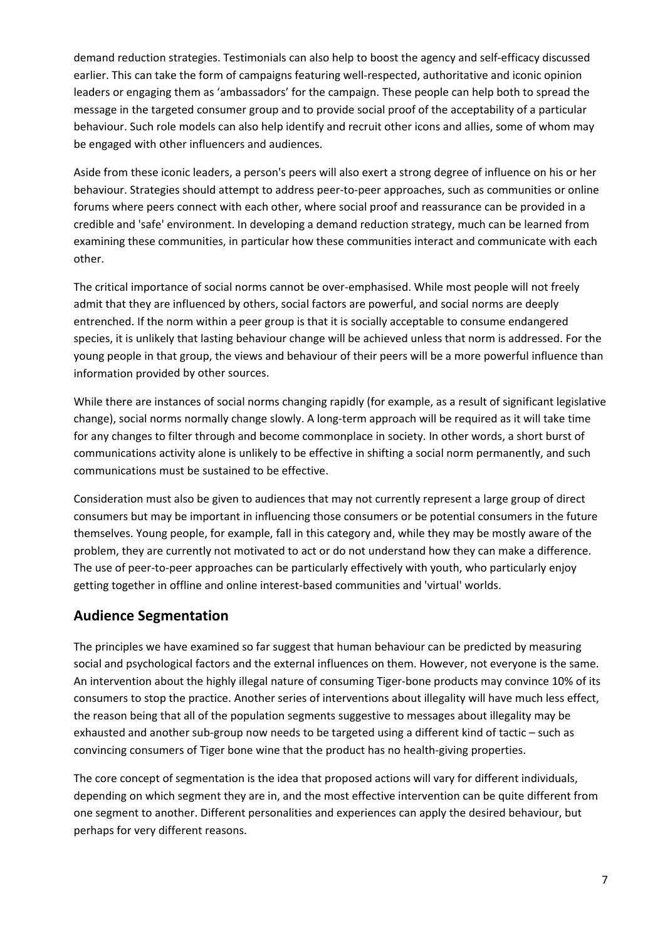demand reduction strategies. Testimonials can also help to boost the agency and self‐efficacy discussed earlier. This can take the form of campaigns featuring well-respected, authoritative and iconic opinion leaders or engaging them as 'ambassadors' for the campaign. These people can help both to spread the message in the targeted consumer group and to provide social proof of the acceptability of a particular behaviour. Such role models can also help identify and recruit other icons and allies, some of whom may be engaged with other influencers and audiences.

Aside from these iconic leaders, a person's peers will also exert a strong degree of influence on his or her behaviour. Strategies should attempt to address peer-to-peer approaches, such as communities or online forums where peers connect with each other, where social proof and reassurance can be provided in a credible and 'safe' environment. In developing a demand reduction strategy, much can be learned from examining these communities, in particular how these communities interact and communicate with each other.

The critical importance of social norms cannot be over‐emphasised. While most people will not freely admit that they are influenced by others, social factors are powerful, and social norms are deeply entrenched. If the norm within a peer group is that it is socially acceptable to consume endangered species, it is unlikely that lasting behaviour change will be achieved unless that norm is addressed. For the young people in that group, the views and behaviour of their peers will be a more powerful influence than information provided by other sources.

While there are instances of social norms changing rapidly (for example, as a result of significant legislative change), social norms normally change slowly. A long-term approach will be required as it will take time for any changes to filter through and become commonplace in society. In other words, a short burst of communications activity alone is unlikely to be effective in shifting a social norm permanently, and such communications must be sustained to be effective.

Consideration must also be given to audiences that may not currently represent a large group of direct consumers but may be important in influencing those consumers or be potential consumers in the future themselves. Young people, for example, fall in this category and, while they may be mostly aware of the problem, they are currently not motivated to act or do not understand how they can make a difference. The use of peer-to-peer approaches can be particularly effectively with youth, who particularly enjoy getting together in offline and online interest-based communities and 'virtual' worlds.

# **Audience Segmentation**

The principles we have examined so far suggest that human behaviour can be predicted by measuring social and psychological factors and the external influences on them. However, not everyone is the same. An intervention about the highly illegal nature of consuming Tiger‐bone products may convince 10% of its consumers to stop the practice. Another series of interventions about illegality will have much less effect, the reason being that all of the population segments suggestive to messages about illegality may be exhausted and another sub‐group now needs to be targeted using a different kind of tactic – such as convincing consumers of Tiger bone wine that the product has no health‐giving properties.

The core concept of segmentation is the idea that proposed actions will vary for different individuals, depending on which segment they are in, and the most effective intervention can be quite different from one segment to another. Different personalities and experiences can apply the desired behaviour, but perhaps for very different reasons.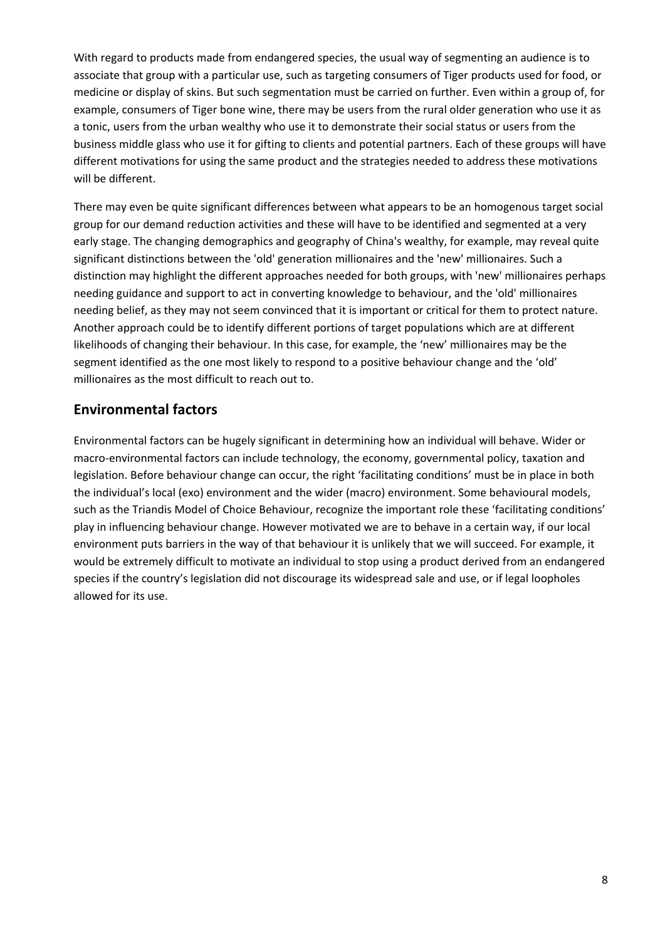With regard to products made from endangered species, the usual way of segmenting an audience is to associate that group with a particular use, such as targeting consumers of Tiger products used for food, or medicine or display of skins. But such segmentation must be carried on further. Even within a group of, for example, consumers of Tiger bone wine, there may be users from the rural older generation who use it as a tonic, users from the urban wealthy who use it to demonstrate their social status or users from the business middle glass who use it for gifting to clients and potential partners. Each of these groups will have different motivations for using the same product and the strategies needed to address these motivations will be different.

There may even be quite significant differences between what appears to be an homogenous target social group for our demand reduction activities and these will have to be identified and segmented at a very early stage. The changing demographics and geography of China's wealthy, for example, may reveal quite significant distinctions between the 'old' generation millionaires and the 'new' millionaires. Such a distinction may highlight the different approaches needed for both groups, with 'new' millionaires perhaps needing guidance and support to act in converting knowledge to behaviour, and the 'old' millionaires needing belief, as they may not seem convinced that it is important or critical for them to protect nature. Another approach could be to identify different portions of target populations which are at different likelihoods of changing their behaviour. In this case, for example, the 'new' millionaires may be the segment identified as the one most likely to respond to a positive behaviour change and the 'old' millionaires as the most difficult to reach out to.

### **Environmental factors**

Environmental factors can be hugely significant in determining how an individual will behave. Wider or macro‐environmental factors can include technology, the economy, governmental policy, taxation and legislation. Before behaviour change can occur, the right 'facilitating conditions' must be in place in both the individual's local (exo) environment and the wider (macro) environment. Some behavioural models, such as the Triandis Model of Choice Behaviour, recognize the important role these 'facilitating conditions' play in influencing behaviour change. However motivated we are to behave in a certain way, if our local environment puts barriers in the way of that behaviour it is unlikely that we will succeed. For example, it would be extremely difficult to motivate an individual to stop using a product derived from an endangered species if the country's legislation did not discourage its widespread sale and use, or if legal loopholes allowed for its use.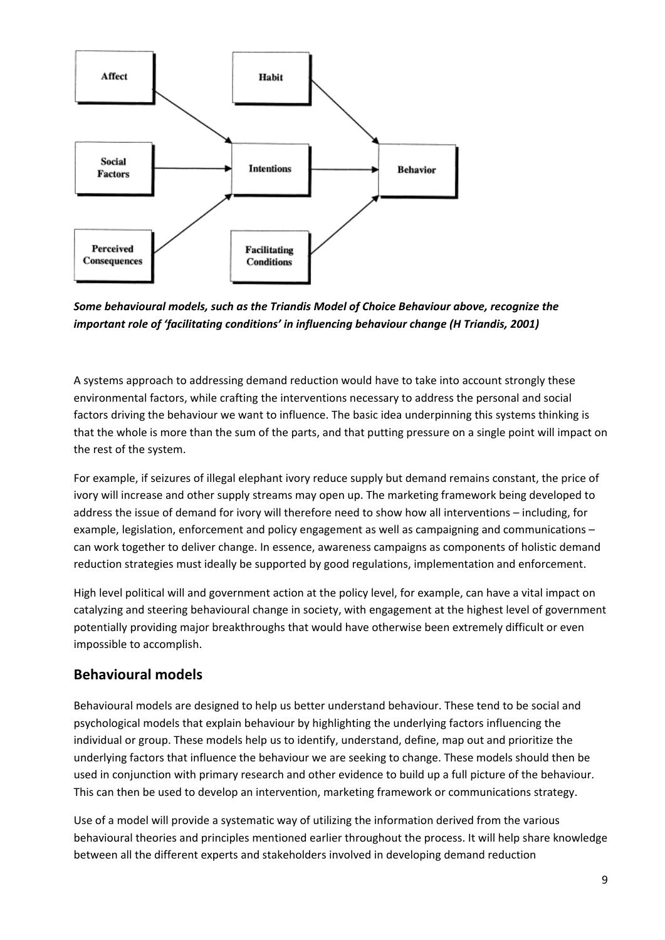

*Some behavioural models, such as the Triandis Model of Choice Behaviour above, recognize the important role of 'facilitating conditions' in influencing behaviour change (H Triandis, 2001)*

A systems approach to addressing demand reduction would have to take into account strongly these environmental factors, while crafting the interventions necessary to address the personal and social factors driving the behaviour we want to influence. The basic idea underpinning this systems thinking is that the whole is more than the sum of the parts, and that putting pressure on a single point will impact on the rest of the system.

For example, if seizures of illegal elephant ivory reduce supply but demand remains constant, the price of ivory will increase and other supply streams may open up. The marketing framework being developed to address the issue of demand for ivory will therefore need to show how all interventions – including, for example, legislation, enforcement and policy engagement as well as campaigning and communications – can work together to deliver change. In essence, awareness campaigns as components of holistic demand reduction strategies must ideally be supported by good regulations, implementation and enforcement.

High level political will and government action at the policy level, for example, can have a vital impact on catalyzing and steering behavioural change in society, with engagement at the highest level of government potentially providing major breakthroughs that would have otherwise been extremely difficult or even impossible to accomplish.

### **Behavioural models**

Behavioural models are designed to help us better understand behaviour. These tend to be social and psychological models that explain behaviour by highlighting the underlying factors influencing the individual or group. These models help us to identify, understand, define, map out and prioritize the underlying factors that influence the behaviour we are seeking to change. These models should then be used in conjunction with primary research and other evidence to build up a full picture of the behaviour. This can then be used to develop an intervention, marketing framework or communications strategy.

Use of a model will provide a systematic way of utilizing the information derived from the various behavioural theories and principles mentioned earlier throughout the process. It will help share knowledge between all the different experts and stakeholders involved in developing demand reduction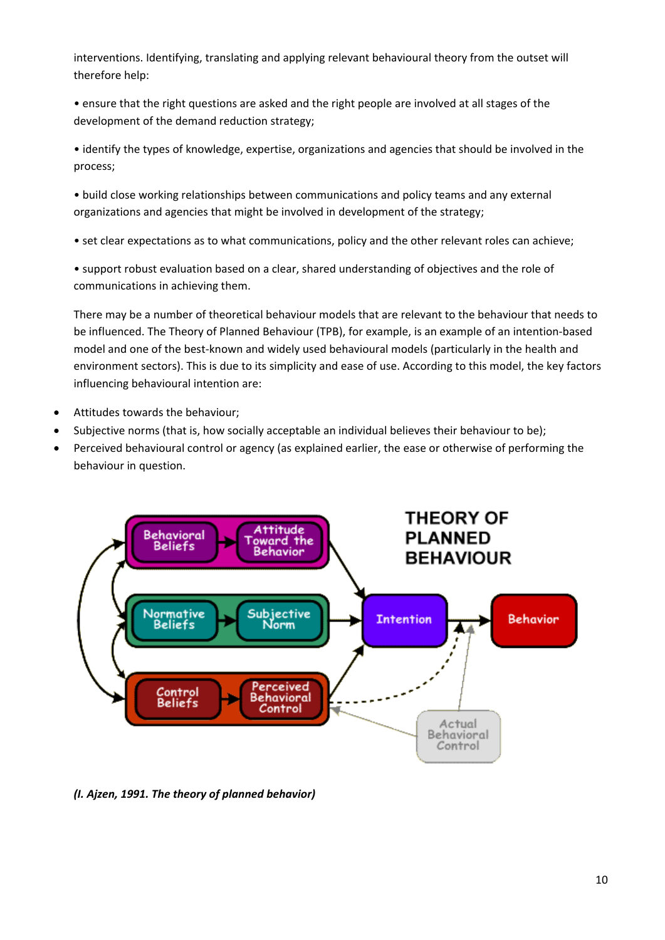interventions. Identifying, translating and applying relevant behavioural theory from the outset will therefore help:

• ensure that the right questions are asked and the right people are involved at all stages of the development of the demand reduction strategy;

• identify the types of knowledge, expertise, organizations and agencies that should be involved in the process;

• build close working relationships between communications and policy teams and any external organizations and agencies that might be involved in development of the strategy;

• set clear expectations as to what communications, policy and the other relevant roles can achieve;

• support robust evaluation based on a clear, shared understanding of objectives and the role of communications in achieving them.

There may be a number of theoretical behaviour models that are relevant to the behaviour that needs to be influenced. The Theory of Planned Behaviour (TPB), for example, is an example of an intention‐based model and one of the best-known and widely used behavioural models (particularly in the health and environment sectors). This is due to its simplicity and ease of use. According to this model, the key factors influencing behavioural intention are:

- Attitudes towards the behaviour;
- Subjective norms (that is, how socially acceptable an individual believes their behaviour to be);
- Perceived behavioural control or agency (as explained earlier, the ease or otherwise of performing the behaviour in question.



*(I. Ajzen, 1991. The theory of planned behavior)*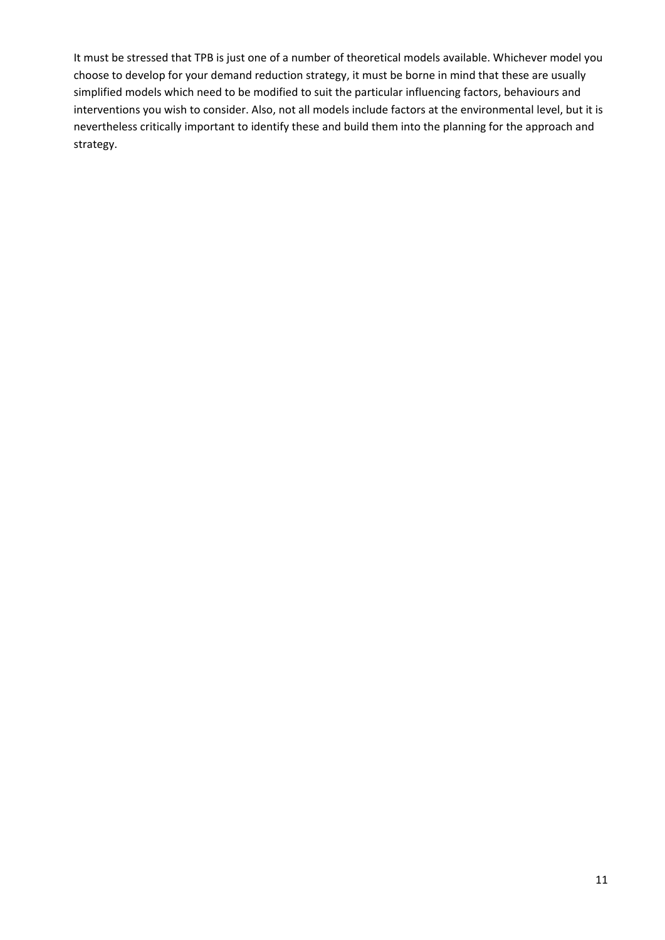It must be stressed that TPB is just one of a number of theoretical models available. Whichever model you choose to develop for your demand reduction strategy, it must be borne in mind that these are usually simplified models which need to be modified to suit the particular influencing factors, behaviours and interventions you wish to consider. Also, not all models include factors at the environmental level, but it is nevertheless critically important to identify these and build them into the planning for the approach and strategy.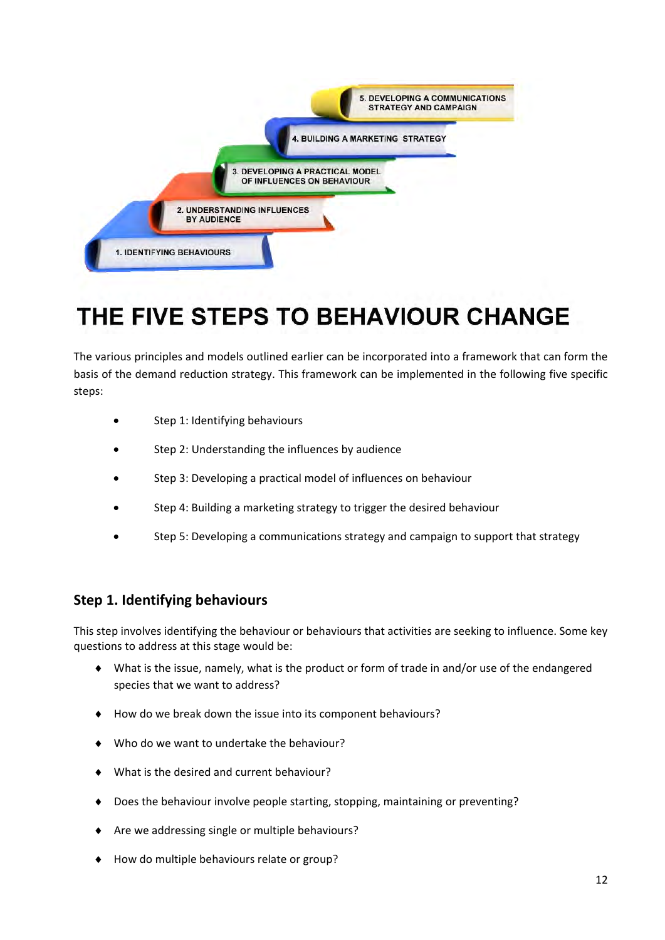

# THE FIVE STEPS TO BEHAVIOUR CHANGE

The various principles and models outlined earlier can be incorporated into a framework that can form the basis of the demand reduction strategy. This framework can be implemented in the following five specific steps:

- Step 1: Identifying behaviours
- Step 2: Understanding the influences by audience
- Step 3: Developing a practical model of influences on behaviour
- Step 4: Building a marketing strategy to trigger the desired behaviour
- Step 5: Developing a communications strategy and campaign to support that strategy

#### **Step 1. Identifying behaviours**

This step involves identifying the behaviour or behaviours that activities are seeking to influence. Some key questions to address at this stage would be:

- ♦ What is the issue, namely, what is the product or form of trade in and/or use of the endangered species that we want to address?
- How do we break down the issue into its component behaviours?
- Who do we want to undertake the behaviour?
- What is the desired and current behaviour?
- ♦ Does the behaviour involve people starting, stopping, maintaining or preventing?
- ♦ Are we addressing single or multiple behaviours?
- ♦ How do multiple behaviours relate or group?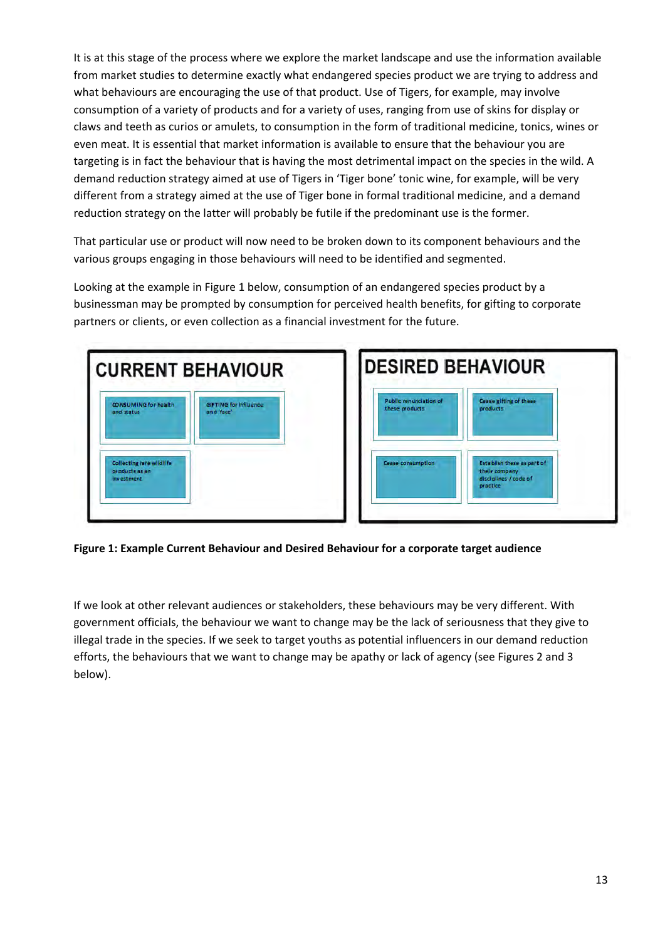It is at this stage of the process where we explore the market landscape and use the information available from market studies to determine exactly what endangered species product we are trying to address and what behaviours are encouraging the use of that product. Use of Tigers, for example, may involve consumption of a variety of products and for a variety of uses, ranging from use of skins for display or claws and teeth as curios or amulets, to consumption in the form of traditional medicine, tonics, wines or even meat. It is essential that market information is available to ensure that the behaviour you are targeting is in fact the behaviour that is having the most detrimental impact on the species in the wild. A demand reduction strategy aimed at use of Tigers in 'Tiger bone' tonic wine, for example, will be very different from a strategy aimed at the use of Tiger bone in formal traditional medicine, and a demand reduction strategy on the latter will probably be futile if the predominant use is the former.

That particular use or product will now need to be broken down to its component behaviours and the various groups engaging in those behaviours will need to be identified and segmented.

Looking at the example in Figure 1 below, consumption of an endangered species product by a businessman may be prompted by consumption for perceived health benefits, for gifting to corporate partners or clients, or even collection as a financial investment for the future.





**Figure 1: Example Current Behaviour and Desired Behaviour for a corporate target audience** 

If we look at other relevant audiences or stakeholders, these behaviours may be very different. With government officials, the behaviour we want to change may be the lack of seriousness that they give to illegal trade in the species. If we seek to target youths as potential influencers in our demand reduction efforts, the behaviours that we want to change may be apathy or lack of agency (see Figures 2 and 3 below).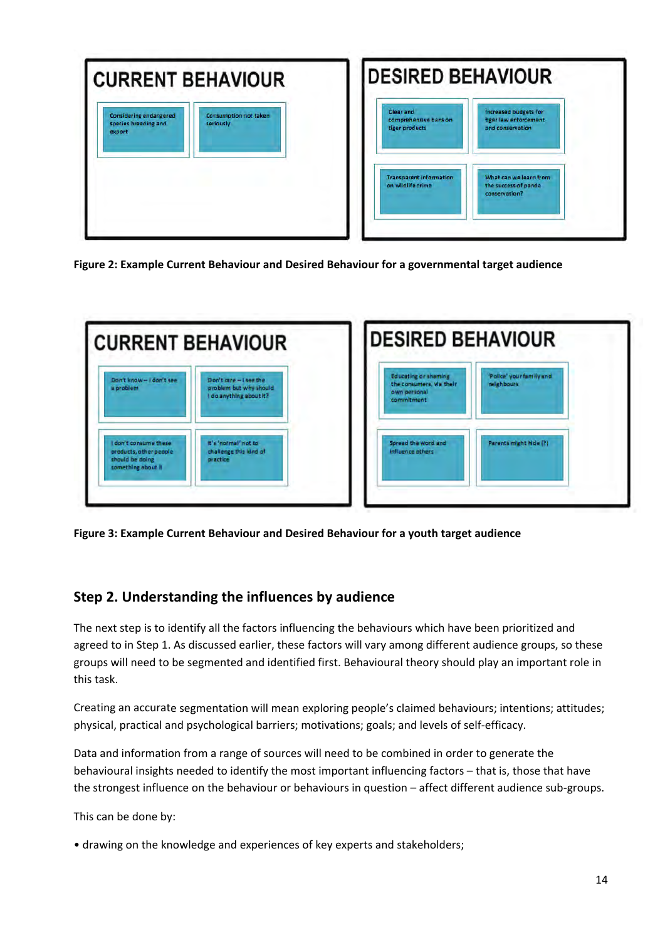| <b>CURRENT BEHAVIOUR</b>                                                                              | <b>IDESIRED BEHAVIOUR</b>                                                                                                         |
|-------------------------------------------------------------------------------------------------------|-----------------------------------------------------------------------------------------------------------------------------------|
| Consumption not taken<br><b>Considering endangered</b><br>species breeding and<br>seriously<br>export | Clear and<br><b>Increased budgets for</b><br>comprehensive bans on<br>tiger law enforcement<br>tiger products<br>and conservation |
|                                                                                                       | What can we learn from<br><b>Transparent information</b><br>on wildlife crime<br>the success of panda<br>conservation?            |

**Figure 2: Example Current Behaviour and Desired Behaviour for a governmental target audience** 



**Figure 3: Example Current Behaviour and Desired Behaviour for a youth target audience** 

# **Step 2. Understanding the influences by audience**

The next step is to identify all the factors influencing the behaviours which have been prioritized and agreed to in Step 1. As discussed earlier, these factors will vary among different audience groups, so these groups will need to be segmented and identified first. Behavioural theory should play an important role in this task.

Creating an accurate segmentation will mean exploring people's claimed behaviours; intentions; attitudes; physical, practical and psychological barriers; motivations; goals; and levels of self‐efficacy.

Data and information from a range of sources will need to be combined in order to generate the behavioural insights needed to identify the most important influencing factors – that is, those that have the strongest influence on the behaviour or behaviours in question – affect different audience sub‐groups.

This can be done by:

• drawing on the knowledge and experiences of key experts and stakeholders;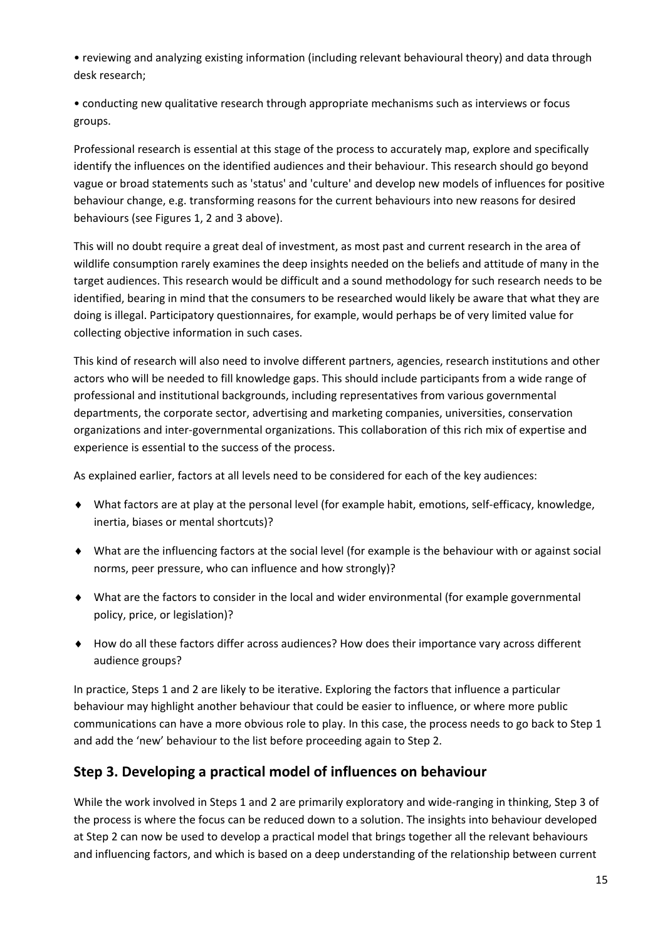• reviewing and analyzing existing information (including relevant behavioural theory) and data through desk research;

• conducting new qualitative research through appropriate mechanisms such as interviews or focus groups.

Professional research is essential at this stage of the process to accurately map, explore and specifically identify the influences on the identified audiences and their behaviour. This research should go beyond vague or broad statements such as 'status' and 'culture' and develop new models of influences for positive behaviour change, e.g. transforming reasons for the current behaviours into new reasons for desired behaviours (see Figures 1, 2 and 3 above).

This will no doubt require a great deal of investment, as most past and current research in the area of wildlife consumption rarely examines the deep insights needed on the beliefs and attitude of many in the target audiences. This research would be difficult and a sound methodology for such research needs to be identified, bearing in mind that the consumers to be researched would likely be aware that what they are doing is illegal. Participatory questionnaires, for example, would perhaps be of very limited value for collecting objective information in such cases.

This kind of research will also need to involve different partners, agencies, research institutions and other actors who will be needed to fill knowledge gaps. This should include participants from a wide range of professional and institutional backgrounds, including representatives from various governmental departments, the corporate sector, advertising and marketing companies, universities, conservation organizations and inter‐governmental organizations. This collaboration of this rich mix of expertise and experience is essential to the success of the process.

As explained earlier, factors at all levels need to be considered for each of the key audiences:

- ◆ What factors are at play at the personal level (for example habit, emotions, self-efficacy, knowledge, inertia, biases or mental shortcuts)?
- ♦ What are the influencing factors at the social level (for example is the behaviour with or against social norms, peer pressure, who can influence and how strongly)?
- ♦ What are the factors to consider in the local and wider environmental (for example governmental policy, price, or legislation)?
- ♦ How do all these factors differ across audiences? How does their importance vary across different audience groups?

In practice, Steps 1 and 2 are likely to be iterative. Exploring the factors that influence a particular behaviour may highlight another behaviour that could be easier to influence, or where more public communications can have a more obvious role to play. In this case, the process needs to go back to Step 1 and add the 'new' behaviour to the list before proceeding again to Step 2.

# **Step 3. Developing a practical model of influences on behaviour**

While the work involved in Steps 1 and 2 are primarily exploratory and wide-ranging in thinking, Step 3 of the process is where the focus can be reduced down to a solution. The insights into behaviour developed at Step 2 can now be used to develop a practical model that brings together all the relevant behaviours and influencing factors, and which is based on a deep understanding of the relationship between current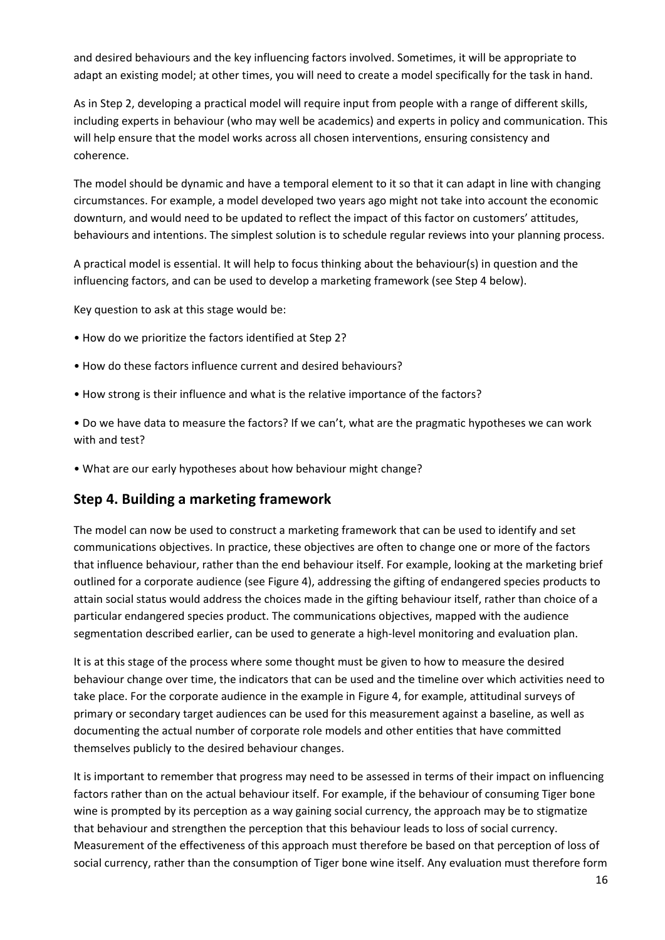and desired behaviours and the key influencing factors involved. Sometimes, it will be appropriate to adapt an existing model; at other times, you will need to create a model specifically for the task in hand.

As in Step 2, developing a practical model will require input from people with a range of different skills, including experts in behaviour (who may well be academics) and experts in policy and communication. This will help ensure that the model works across all chosen interventions, ensuring consistency and coherence.

The model should be dynamic and have a temporal element to it so that it can adapt in line with changing circumstances. For example, a model developed two years ago might not take into account the economic downturn, and would need to be updated to reflect the impact of this factor on customers' attitudes, behaviours and intentions. The simplest solution is to schedule regular reviews into your planning process.

A practical model is essential. It will help to focus thinking about the behaviour(s) in question and the influencing factors, and can be used to develop a marketing framework (see Step 4 below).

Key question to ask at this stage would be:

- How do we prioritize the factors identified at Step 2?
- How do these factors influence current and desired behaviours?
- How strong is their influence and what is the relative importance of the factors?

• Do we have data to measure the factors? If we can't, what are the pragmatic hypotheses we can work with and test?

• What are our early hypotheses about how behaviour might change?

#### **Step 4. Building a marketing framework**

The model can now be used to construct a marketing framework that can be used to identify and set communications objectives. In practice, these objectives are often to change one or more of the factors that influence behaviour, rather than the end behaviour itself. For example, looking at the marketing brief outlined for a corporate audience (see Figure 4), addressing the gifting of endangered species products to attain social status would address the choices made in the gifting behaviour itself, rather than choice of a particular endangered species product. The communications objectives, mapped with the audience segmentation described earlier, can be used to generate a high‐level monitoring and evaluation plan.

It is at this stage of the process where some thought must be given to how to measure the desired behaviour change over time, the indicators that can be used and the timeline over which activities need to take place. For the corporate audience in the example in Figure 4, for example, attitudinal surveys of primary or secondary target audiences can be used for this measurement against a baseline, as well as documenting the actual number of corporate role models and other entities that have committed themselves publicly to the desired behaviour changes.

It is important to remember that progress may need to be assessed in terms of their impact on influencing factors rather than on the actual behaviour itself. For example, if the behaviour of consuming Tiger bone wine is prompted by its perception as a way gaining social currency, the approach may be to stigmatize that behaviour and strengthen the perception that this behaviour leads to loss of social currency. Measurement of the effectiveness of this approach must therefore be based on that perception of loss of social currency, rather than the consumption of Tiger bone wine itself. Any evaluation must therefore form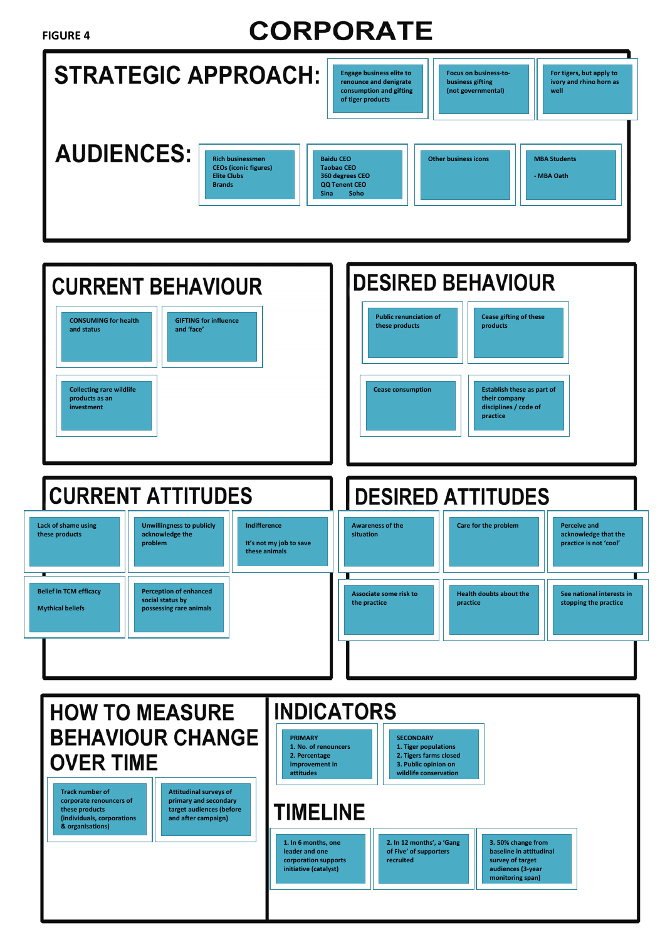#### **FIGURE 4**

# **CORPORATE**

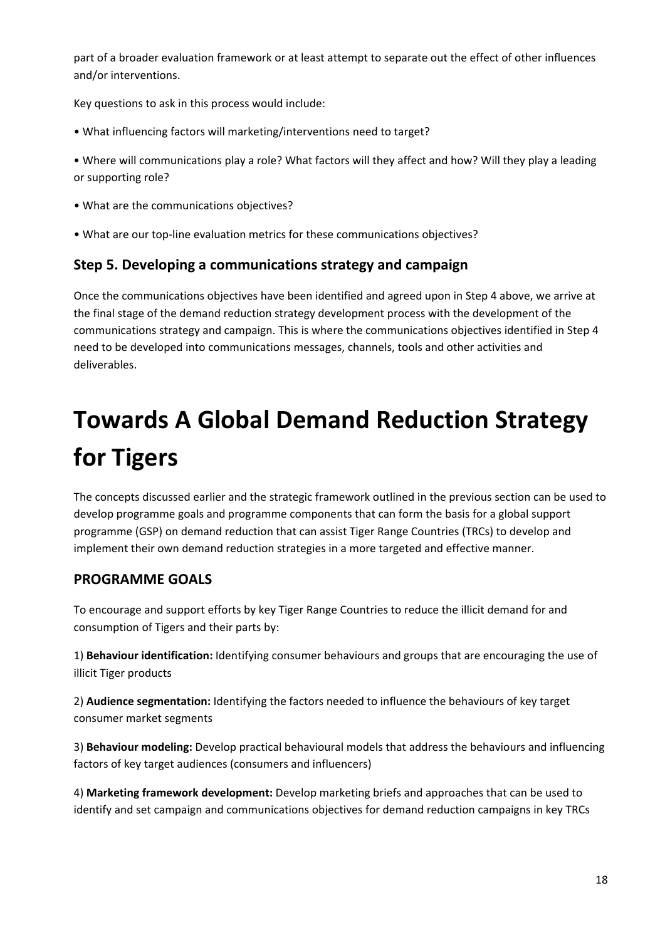part of a broader evaluation framework or at least attempt to separate out the effect of other influences and/or interventions.

Key questions to ask in this process would include:

- What influencing factors will marketing/interventions need to target?
- Where will communications play a role? What factors will they affect and how? Will they play a leading or supporting role?
- What are the communications objectives?
- What are our top‐line evaluation metrics for these communications objectives?

### **Step 5. Developing a communications strategy and campaign**

Once the communications objectives have been identified and agreed upon in Step 4 above, we arrive at the final stage of the demand reduction strategy development process with the development of the communications strategy and campaign. This is where the communications objectives identified in Step 4 need to be developed into communications messages, channels, tools and other activities and deliverables.

# **Towards A Global Demand Reduction Strategy for Tigers**

The concepts discussed earlier and the strategic framework outlined in the previous section can be used to develop programme goals and programme components that can form the basis for a global support programme (GSP) on demand reduction that can assist Tiger Range Countries (TRCs) to develop and implement their own demand reduction strategies in a more targeted and effective manner.

# **PROGRAMME GOALS**

To encourage and support efforts by key Tiger Range Countries to reduce the illicit demand for and consumption of Tigers and their parts by:

1) **Behaviour identification:** Identifying consumer behaviours and groups that are encouraging the use of illicit Tiger products

2) **Audience segmentation:** Identifying the factors needed to influence the behaviours of key target consumer market segments

3) **Behaviour modeling:** Develop practical behavioural models that address the behaviours and influencing factors of key target audiences (consumers and influencers)

4) **Marketing framework development:** Develop marketing briefs and approaches that can be used to identify and set campaign and communications objectives for demand reduction campaigns in key TRCs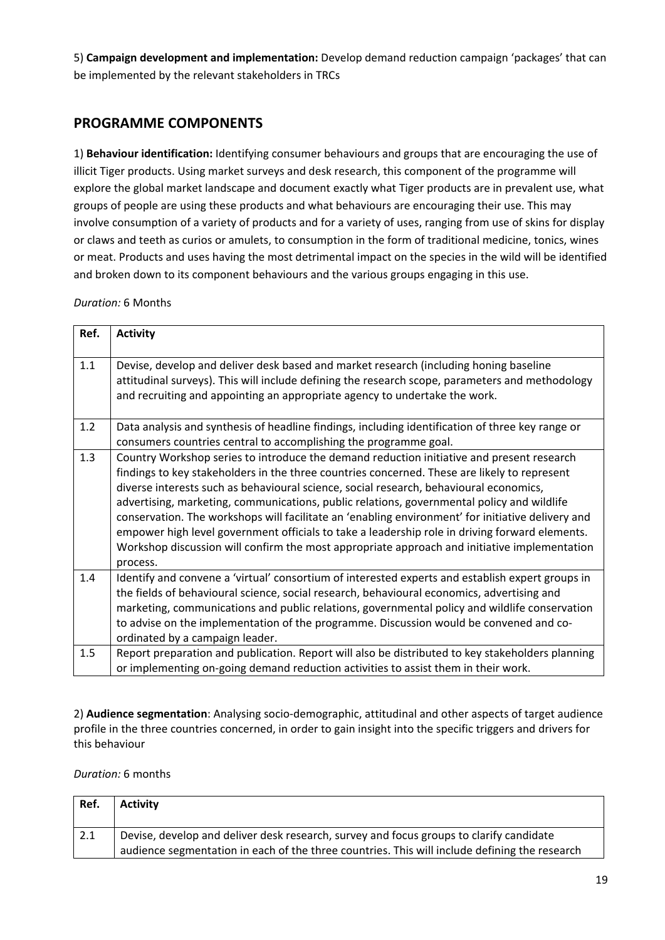5) **Campaign development and implementation:** Develop demand reduction campaign 'packages' that can be implemented by the relevant stakeholders in TRCs

### **PROGRAMME COMPONENTS**

1) **Behaviour identification:** Identifying consumer behaviours and groups that are encouraging the use of illicit Tiger products. Using market surveys and desk research, this component of the programme will explore the global market landscape and document exactly what Tiger products are in prevalent use, what groups of people are using these products and what behaviours are encouraging their use. This may involve consumption of a variety of products and for a variety of uses, ranging from use of skins for display or claws and teeth as curios or amulets, to consumption in the form of traditional medicine, tonics, wines or meat. Products and uses having the most detrimental impact on the species in the wild will be identified and broken down to its component behaviours and the various groups engaging in this use.

*Duration:* 6 Months

| Ref. | <b>Activity</b>                                                                                                                                                                                                                                                                                                                                                                                                                                                                                                                                                                                                                                                                                      |
|------|------------------------------------------------------------------------------------------------------------------------------------------------------------------------------------------------------------------------------------------------------------------------------------------------------------------------------------------------------------------------------------------------------------------------------------------------------------------------------------------------------------------------------------------------------------------------------------------------------------------------------------------------------------------------------------------------------|
| 1.1  | Devise, develop and deliver desk based and market research (including honing baseline<br>attitudinal surveys). This will include defining the research scope, parameters and methodology<br>and recruiting and appointing an appropriate agency to undertake the work.                                                                                                                                                                                                                                                                                                                                                                                                                               |
| 1.2  | Data analysis and synthesis of headline findings, including identification of three key range or<br>consumers countries central to accomplishing the programme goal.                                                                                                                                                                                                                                                                                                                                                                                                                                                                                                                                 |
| 1.3  | Country Workshop series to introduce the demand reduction initiative and present research<br>findings to key stakeholders in the three countries concerned. These are likely to represent<br>diverse interests such as behavioural science, social research, behavioural economics,<br>advertising, marketing, communications, public relations, governmental policy and wildlife<br>conservation. The workshops will facilitate an 'enabling environment' for initiative delivery and<br>empower high level government officials to take a leadership role in driving forward elements.<br>Workshop discussion will confirm the most appropriate approach and initiative implementation<br>process. |
| 1.4  | Identify and convene a 'virtual' consortium of interested experts and establish expert groups in<br>the fields of behavioural science, social research, behavioural economics, advertising and<br>marketing, communications and public relations, governmental policy and wildlife conservation<br>to advise on the implementation of the programme. Discussion would be convened and co-<br>ordinated by a campaign leader.                                                                                                                                                                                                                                                                         |
| 1.5  | Report preparation and publication. Report will also be distributed to key stakeholders planning<br>or implementing on-going demand reduction activities to assist them in their work.                                                                                                                                                                                                                                                                                                                                                                                                                                                                                                               |

2) **Audience segmentation**: Analysing socio‐demographic, attitudinal and other aspects of target audience profile in the three countries concerned, in order to gain insight into the specific triggers and drivers for this behaviour

#### *Duration:* 6 months

| Ref. | <b>Activity</b>                                                                                                                                                                          |
|------|------------------------------------------------------------------------------------------------------------------------------------------------------------------------------------------|
| 2.1  | Devise, develop and deliver desk research, survey and focus groups to clarify candidate<br>audience segmentation in each of the three countries. This will include defining the research |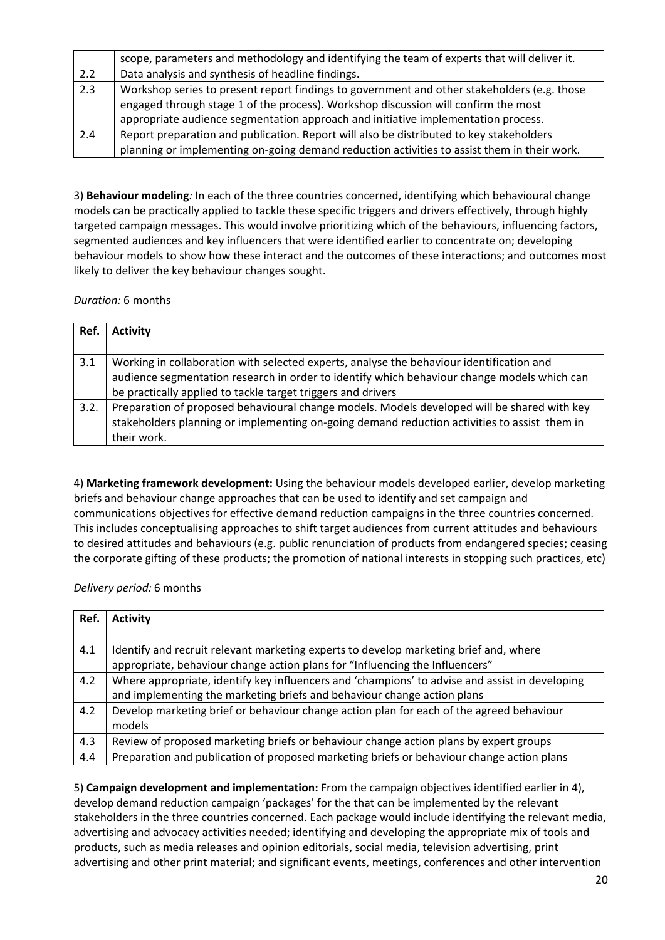|     | scope, parameters and methodology and identifying the team of experts that will deliver it. |
|-----|---------------------------------------------------------------------------------------------|
| 2.2 | Data analysis and synthesis of headline findings.                                           |
| 2.3 | Workshop series to present report findings to government and other stakeholders (e.g. those |
|     | engaged through stage 1 of the process). Workshop discussion will confirm the most          |
|     | appropriate audience segmentation approach and initiative implementation process.           |
| 2.4 | Report preparation and publication. Report will also be distributed to key stakeholders     |
|     | planning or implementing on-going demand reduction activities to assist them in their work. |

3) **Behaviour modeling***:* In each of the three countries concerned, identifying which behavioural change models can be practically applied to tackle these specific triggers and drivers effectively, through highly targeted campaign messages. This would involve prioritizing which of the behaviours, influencing factors, segmented audiences and key influencers that were identified earlier to concentrate on; developing behaviour models to show how these interact and the outcomes of these interactions; and outcomes most likely to deliver the key behaviour changes sought.

*Duration:* 6 months

| Ref. | <b>Activity</b>                                                                                                                                                                                                                                         |
|------|---------------------------------------------------------------------------------------------------------------------------------------------------------------------------------------------------------------------------------------------------------|
| 3.1  | Working in collaboration with selected experts, analyse the behaviour identification and<br>audience segmentation research in order to identify which behaviour change models which can<br>be practically applied to tackle target triggers and drivers |
| 3.2. | Preparation of proposed behavioural change models. Models developed will be shared with key<br>stakeholders planning or implementing on-going demand reduction activities to assist them in<br>their work.                                              |

4) **Marketing framework development:** Using the behaviour models developed earlier, develop marketing briefs and behaviour change approaches that can be used to identify and set campaign and communications objectives for effective demand reduction campaigns in the three countries concerned. This includes conceptualising approaches to shift target audiences from current attitudes and behaviours to desired attitudes and behaviours (e.g. public renunciation of products from endangered species; ceasing the corporate gifting of these products; the promotion of national interests in stopping such practices, etc)

*Delivery period:* 6 months

| Ref. | <b>Activity</b>                                                                                |
|------|------------------------------------------------------------------------------------------------|
|      |                                                                                                |
| 4.1  | Identify and recruit relevant marketing experts to develop marketing brief and, where          |
|      | appropriate, behaviour change action plans for "Influencing the Influencers"                   |
| 4.2  | Where appropriate, identify key influencers and 'champions' to advise and assist in developing |
|      | and implementing the marketing briefs and behaviour change action plans                        |
| 4.2  | Develop marketing brief or behaviour change action plan for each of the agreed behaviour       |
|      | models                                                                                         |
| 4.3  | Review of proposed marketing briefs or behaviour change action plans by expert groups          |
| 4.4  | Preparation and publication of proposed marketing briefs or behaviour change action plans      |
|      |                                                                                                |

5) **Campaign development and implementation:** From the campaign objectives identified earlier in 4), develop demand reduction campaign 'packages' for the that can be implemented by the relevant stakeholders in the three countries concerned. Each package would include identifying the relevant media, advertising and advocacy activities needed; identifying and developing the appropriate mix of tools and products, such as media releases and opinion editorials, social media, television advertising, print advertising and other print material; and significant events, meetings, conferences and other intervention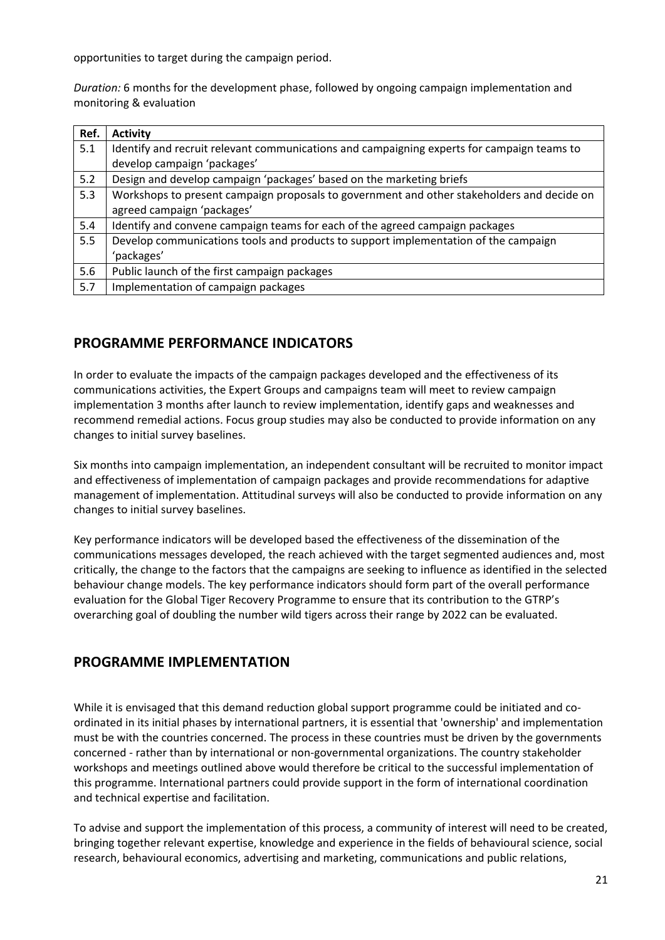opportunities to target during the campaign period.

*Duration:* 6 months for the development phase, followed by ongoing campaign implementation and monitoring & evaluation

| Ref. | <b>Activity</b>                                                                            |
|------|--------------------------------------------------------------------------------------------|
| 5.1  | Identify and recruit relevant communications and campaigning experts for campaign teams to |
|      | develop campaign 'packages'                                                                |
| 5.2  | Design and develop campaign 'packages' based on the marketing briefs                       |
| 5.3  | Workshops to present campaign proposals to government and other stakeholders and decide on |
|      | agreed campaign 'packages'                                                                 |
| 5.4  | Identify and convene campaign teams for each of the agreed campaign packages               |
| 5.5  | Develop communications tools and products to support implementation of the campaign        |
|      | 'packages'                                                                                 |
| 5.6  | Public launch of the first campaign packages                                               |
| 5.7  | Implementation of campaign packages                                                        |

### **PROGRAMME PERFORMANCE INDICATORS**

In order to evaluate the impacts of the campaign packages developed and the effectiveness of its communications activities, the Expert Groups and campaigns team will meet to review campaign implementation 3 months after launch to review implementation, identify gaps and weaknesses and recommend remedial actions. Focus group studies may also be conducted to provide information on any changes to initial survey baselines.

Six months into campaign implementation, an independent consultant will be recruited to monitor impact and effectiveness of implementation of campaign packages and provide recommendations for adaptive management of implementation. Attitudinal surveys will also be conducted to provide information on any changes to initial survey baselines.

Key performance indicators will be developed based the effectiveness of the dissemination of the communications messages developed, the reach achieved with the target segmented audiences and, most critically, the change to the factors that the campaigns are seeking to influence as identified in the selected behaviour change models. The key performance indicators should form part of the overall performance evaluation for the Global Tiger Recovery Programme to ensure that its contribution to the GTRP's overarching goal of doubling the number wild tigers across their range by 2022 can be evaluated.

### **PROGRAMME IMPLEMENTATION**

While it is envisaged that this demand reduction global support programme could be initiated and coordinated in its initial phases by international partners, it is essential that 'ownership' and implementation must be with the countries concerned. The process in these countries must be driven by the governments concerned ‐ rather than by international or non‐governmental organizations. The country stakeholder workshops and meetings outlined above would therefore be critical to the successful implementation of this programme. International partners could provide support in the form of international coordination and technical expertise and facilitation.

To advise and support the implementation of this process, a community of interest will need to be created, bringing together relevant expertise, knowledge and experience in the fields of behavioural science, social research, behavioural economics, advertising and marketing, communications and public relations,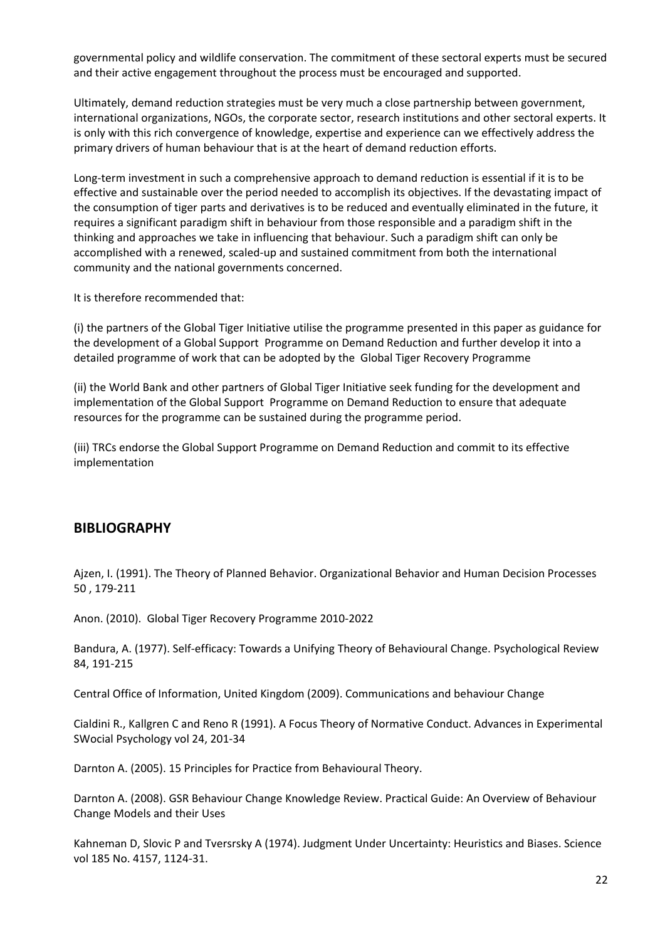governmental policy and wildlife conservation. The commitment of these sectoral experts must be secured and their active engagement throughout the process must be encouraged and supported.

Ultimately, demand reduction strategies must be very much a close partnership between government, international organizations, NGOs, the corporate sector, research institutions and other sectoral experts. It is only with this rich convergence of knowledge, expertise and experience can we effectively address the primary drivers of human behaviour that is at the heart of demand reduction efforts.

Long-term investment in such a comprehensive approach to demand reduction is essential if it is to be effective and sustainable over the period needed to accomplish its objectives. If the devastating impact of the consumption of tiger parts and derivatives is to be reduced and eventually eliminated in the future, it requires a significant paradigm shift in behaviour from those responsible and a paradigm shift in the thinking and approaches we take in influencing that behaviour. Such a paradigm shift can only be accomplished with a renewed, scaled‐up and sustained commitment from both the international community and the national governments concerned.

It is therefore recommended that:

(i) the partners of the Global Tiger Initiative utilise the programme presented in this paper as guidance for the development of a Global Support Programme on Demand Reduction and further develop it into a detailed programme of work that can be adopted by the Global Tiger Recovery Programme

(ii) the World Bank and other partners of Global Tiger Initiative seek funding for the development and implementation of the Global Support Programme on Demand Reduction to ensure that adequate resources for the programme can be sustained during the programme period.

(iii) TRCs endorse the Global Support Programme on Demand Reduction and commit to its effective implementation

#### **BIBLIOGRAPHY**

Ajzen, I. (1991). The Theory of Planned Behavior. Organizational Behavior and Human Decision Processes 50 , 179‐211

Anon. (2010). Global Tiger Recovery Programme 2010‐2022

Bandura, A. (1977). Self‐efficacy: Towards a Unifying Theory of Behavioural Change. Psychological Review 84, 191‐215

Central Office of Information, United Kingdom (2009). Communications and behaviour Change

Cialdini R., Kallgren C and Reno R (1991). A Focus Theory of Normative Conduct. Advances in Experimental SWocial Psychology vol 24, 201‐34

Darnton A. (2005). 15 Principles for Practice from Behavioural Theory.

Darnton A. (2008). GSR Behaviour Change Knowledge Review. Practical Guide: An Overview of Behaviour Change Models and their Uses

Kahneman D, Slovic P and Tversrsky A (1974). Judgment Under Uncertainty: Heuristics and Biases. Science vol 185 No. 4157, 1124‐31.